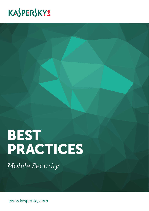# KASPERSKYS

# BEST PRACTICES

*Mobile Security*

www.kaspersky.com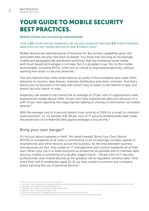# YOUR GUIDE TO MOBILE SECURITY BEST PRACTICES.

#### *Mobile threats are increasing exponentially.*

Over a 12 month period, Kaspersky Lab security products reported 3.5 million malware detections on the mobile devices of over  $1$  million users.<sup>1</sup>

Mobile devices are essential pieces of business kit. But as their capabilities grow, the associated data security risks have increased. You know that securing an increasingly mobile and geographically distributed workforce that has embraced social media and cloud-based technologies is not easy. But it is possible to say 'Yes' to the mobile technologies, including BYOD, which are so critical to improved productivity, without opening new doors to security breaches.

The very features that make smart devices so useful in the workplace also make them attractive to hackers, data thieves, malware distributors and other criminals. And that's before you've factored in the ease with which they're stolen or left behind in taxis and airport security check-in trays.

Kaspersky Lab research has found that an average of 23 per cent of organizations have experienced mobile device theft; 19 per cent have experienced data loss because of it, with 14 per cent reporting the inappropriate leaking or sharing of information via mobile devices<sup>2</sup>

With the average cost of a security breach now running at \$50k for a small-to-mediumsized business<sup>3</sup>, it's no wonder that 38 per cent of IT security professionals have made the protection of confidential data against leakages a top priority.<sup>4</sup>

#### Bring your own danger?

It's not just about malware or theft; the trend towards 'Bring Your Own Device' (BYOD) in companies of all sizes is contributing to an increasingly complex spread of smartphones and other devices across the business. As the lines between business and personal use blur, they create an IT management and control headache all of their own. When your job is to keep everyone as productive as possible and to maintain data security, mobile is something of a double-edged sword – 69 per cent of IT security professionals view mobile devices as the greatest risk to regulated, sensitive data.<sup>5</sup> And more than half of employees aged 21-31 say they would circumvent any company policy banning the use of personal devices.<sup>6</sup>

<sup>1</sup> Securelist, http://securelist.com/analysis/publications/66978/mobile-cyber-threats-a-joint-study-by-kaspersky-lab-and-interpol/ October 2014.

<sup>2</sup> Kaspersky Lab, Global IT Security Risk Report 2014. 3 Kaspersky Lab, IT Security: Fighting the Silent Threat, 2013.

<sup>4</sup> Kaspersky Lab, IT Security Risk Report, 2014.

<sup>5</sup> Ponemon Institute, Risk of Regulated Data on Mobile Devices and in the Cloud, 2013.

<sup>6</sup> Forbes, http://fortune.com/2013/10/21/employees-really-want-to-use-their-personal-devices-at-work/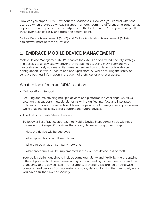How can you support BYOD without the headaches? How can you control what end users do when they're downloading apps in a hotel room in a different time zone? What happens when they leave their smartphone in the back of a taxi? Can you manage all of these eventualities easily and from one central point?

Mobile Device Management (MDM) and Mobile Application Management (MAM) can answer most of these questions…

# 1. EMBRACE MOBILE DEVICE MANAGEMENT

Mobile Device Management (MDM) enables the extension of a 'wired' security strategy and policies to all devices, wherever they happen to be. Using MDM software, you can cost-effectively automate vital management and control tasks such as device configuration, software updates and backup/restore. All while ensuring the safety of sensitive business information in the event of theft, loss or end-user abuse.

#### What to look for in an MDM solution

• Multi-platform Support

Securing and maintaining multiple devices and platforms is a challenge. An MDM solution that supports multiple platforms with a unified interface and integrated policies is not only cost-effective, it takes the pain out of managing multiple systems while enabling flexibility across current and future devices.

• The Ability to Create Strong Policies

To follow a Best Practice approach to Mobile Device Management you will need to create mobile-specific policies that clearly define, among other things:

- How the device will be deployed
- What applications are allowed to run
- Who can do what on company networks
- What procedures will be implemented in the event of device loss or theft

Your policy definitions should include some granularity and flexibility – e.g. applying different policies to different users and groups, according to their needs. Extend this granularity to the device itself – for example, preventing jail-broken or otherwise compromised devices from accessing company data, or locking them remotely – and you have a further layer of security.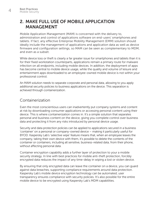## 2. MAKE FULL USE OF MOBILE APPLICATION MANAGEMENT

Mobile Application Management (MAM) is concerned with the delivery to, administration and control of applications software on end-users' smartphones and tablets. If fact, any effective Enterprise Mobility Management (EMM) solution should ideally include the management of applications and application data as well as device firmware and configuration settings, so MAM can be seen as complementary to MDM, and even as a subset.

While device loss or theft is clearly a far greater issue for smartphones and tablets than it is for their fixed workstation counterparts, applications remain a primary route for malware infection on all endpoints, including mobile devices. In addition, the deployment of apps has become central to mobile device usage, while the quality and volume of leisure and entertainment apps downloaded to an employee-owned mobile device is not within your professional control.

An MAM solution needs to separate corporate and personal data, allowing to you apply additional security policies to business applications on the device. This separation is achieved through containerization.

#### Containerization

Even the most conscientious users can inadvertently put company systems and content at risk by downloading consumer applications or accessing personal content using their device. This is where containerization comes in. It's a simple solution that separates personal and business content on the device, giving you complete control over business data and protecting it from any risks introduced by personal device usage.

Security and data protection policies can be applied to applications secured in a business 'container' on a personal or company-owned device – making it particularly useful for BYOD. Kaspersky Lab's 'selective wipe' feature means that, when an employee leaves the company, taking their own device with them, it's possible to delete the contents of the container or containers, including all sensitive, business-related data, from their phone, without affecting personal data.

Container encryption capability adds a further layer of protection to your a mobile security strategy. In line with best practices for mobile anti-theft protection, forcibly encrypted data reduces the impact of any time-delay in wiping a lost or stolen device.

By ensuring that only encrypted data can leave the container on a device, you can guard against data breaches, supporting compliance requirements around data protection. Kaspersky Lab's mobile device encryption technology can be automated; user transparency ensures compliance with security policies. It's also possible for the entire mobile device to be encrypted using Kaspersky Lab's MDM capabilities.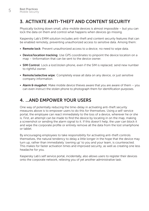### 3. ACTIVATE ANTI-THEFT AND CONTENT SECURITY

Physically locking down small, ultra-mobile devices is almost impossible – but you can lock the data on them and control what happens when devices go missing.

Kaspersky Lab's EMM solution includes anti-theft and content security features that can be enabled remotely, preventing unauthorized access to sensitive data. Among them:

- Remote lock: Prevent unauthorized access to a device; no need to wipe data.
- Device/location tracking: Use GPS coordinates to pinpoint the device location on a map – tinformation that can be sent to the device owner.
- **SIM Control**: Lock a lost/stolen phone, even if the SIM is replaced; send new number to rightful owner.
- Remote/selective wipe: Completely erase all data on any device, or just sensitive company information.
- Alarm  $\theta$  mugshot: Make mobile device thieves aware that you are aware of them  $-$  you can even instruct the stolen phone to photograph them for identification purposes.

# 4 AND EMPOWER YOUR USERS

One way of potentially reducing the time-delay in activating anti-theft security measures above is to empower users to do this for themselves. Using a self-service portal, the employee can react immediately to the loss of a device, wherever he or she is. First, an attempt can be made to find the device by locating in on the map, making a screenshot or sending the alarm signal to it. If this doesn't help, the user can block it and wipe the corporate profile or entirely remove all the data from the lost smartphone or tablet.

By encouraging employees to take responsibility for activating anti-theft controls themselves, the natural tendency to delay a little longer in the hope that the device may turn up, rather than immediately 'owning up' to you and your team, is counteracted. This makes for faster activation times and improved security, as well as creating one less headache for you.

Kaspersky Lab's self service portal, incidentally, also allows users to register their devices onto the corporate network, relieving you of yet another administrative task.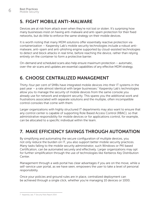# 5. FIGHT MOBILE ANTI-MALWARE

Devices are at risk from attack even when they're not lost or stolen. It's surprising how many businesses insist on having anti-malware and anti-spam protection for their fixed networks, but do little to enforce the same strategy on their mobile devices.

It is worth noting that many MDM solutions offer essentially reactive protection via containerization – Kaspersky Lab's mobile security technologies include a robust antimalware, anti-spam and anti-phishing engine supported by cloud-assisted technologies to detect and block attacks in real time, before reaching the device, rather than relying entirely on the container to form a protective barrier.

On-demand and scheduled scans also help ensure maximum protection – automatic, over-the-air scans and updates are essential capabilities of any effective MDM strategy.

# **6. CHOOSE CENTRALIZED MANAGEMENT**

Thirty-four per cent of SMBs have integrated mobile devices into their IT systems in the past year – a rate almost identical with larger businesses.<sup>7</sup> Kaspersky Lab's technologies allow you to manage the security of mobile devices from the same console you already use for network and endpoint security. This spares you the additional work and frustrations associated with separate solutions and the multiple, often incompatible control consoles that come with them.

Larger organizations with highly structured IT departments may also want to ensure that any control center is capable of supporting Role Based Access Control (RBAC), so that administrative responsibility for mobile devices or for applications control, for example, can be allocated to a specific individual within the team.

# 7. MAKE EFFICIENCY SAVINGS THROUGH AUTOMATION

By simplifying and automating the secure configuration of multiple devices, you not only reduce the burden on IT, you also support better mobile security practices. Many tasks falling to the mobile security administrator, such Windows or PKI based Certification, can be automated securely and effectively. Larger organizations may opt for further simplification through the use of technologies like Kerberos Key Distribution Center.

Management through a web portal has clear advantages if you are on the move, while a self-service user portal, as we have seen, empowers the user to take a level of personal responsibility.

Once your policies and ground rules are in place, centralized deployment can be achieved through a single click, whether you're managing 10 devices or 1000.

<sup>7</sup> Kaspersky Lab, IT Security Risks Report 2014.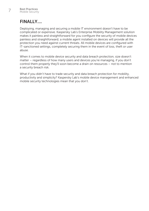# FINALLY....

Deploying, managing and securing a mobile IT environment doesn't have to be complicated or expensive. Kaspersky Lab's Enterprise Mobility Management solution makes it painless and straightforward for you configure the security of mobile devices painless and straightforward; a mobile agent installed on devices will provide all the protection you need against current threats. All mobile devices are configured with IT-sanctioned settings, completely securing them in the event of loss, theft or user abuse.

When it comes to mobile device security and data breach protection, size doesn't matter – regardless of how many users and devices you're managing, if you don't control them properly they'll soon become a drain on resources – not to mention a security breach risk.

What if you didn't have to trade security and data breach protection for mobility, productivity and simplicity? Kaspersky Lab's mobile device management and enhanced mobile security technologies mean that you don't.